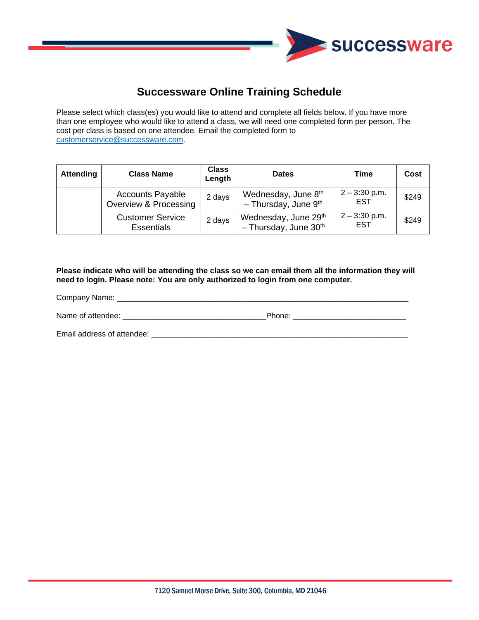

## **Successware Online Training Schedule**

Please select which class(es) you would like to attend and complete all fields below. If you have more than one employee who would like to attend a class, we will need one completed form per person. The cost per class is based on one attendee. Email the completed form to [customerservice@successware.com.](mailto:customerservice@successware.com)

| <b>Attending</b> | <b>Class Name</b>                                | <b>Class</b><br>Length | <b>Dates</b>                                                | Time                          | Cost  |
|------------------|--------------------------------------------------|------------------------|-------------------------------------------------------------|-------------------------------|-------|
|                  | <b>Accounts Payable</b><br>Overview & Processing | 2 days                 | Wednesday, June 8th<br>$-$ Thursday, June 9 <sup>th</sup>   | $2 - 3:30$ p.m.<br><b>EST</b> | \$249 |
|                  | <b>Customer Service</b><br><b>Essentials</b>     | 2 days                 | Wednesday, June 29th<br>$-$ Thursday, June 30 <sup>th</sup> | $2 - 3:30$ p.m.<br><b>EST</b> | \$249 |

**Please indicate who will be attending the class so we can email them all the information they will need to login. Please note: You are only authorized to login from one computer.** 

Company Name: \_\_\_\_\_\_\_\_\_\_\_\_\_\_\_\_\_\_\_\_\_\_\_\_\_\_\_\_\_\_\_\_\_\_\_\_\_\_\_\_\_\_\_\_\_\_\_\_\_\_\_\_\_\_\_\_\_\_\_\_\_\_\_\_\_\_\_

Name of attendee: \_\_\_\_\_\_\_\_\_\_\_\_\_\_\_\_\_\_\_\_\_\_\_\_\_\_\_\_\_\_\_\_\_Phone: \_\_\_\_\_\_\_\_\_\_\_\_\_\_\_\_\_\_\_\_\_\_\_\_\_\_

Email address of attendee: \_\_\_\_\_\_\_\_\_\_\_\_\_\_\_\_\_\_\_\_\_\_\_\_\_\_\_\_\_\_\_\_\_\_\_\_\_\_\_\_\_\_\_\_\_\_\_\_\_\_\_\_\_\_\_\_\_\_\_